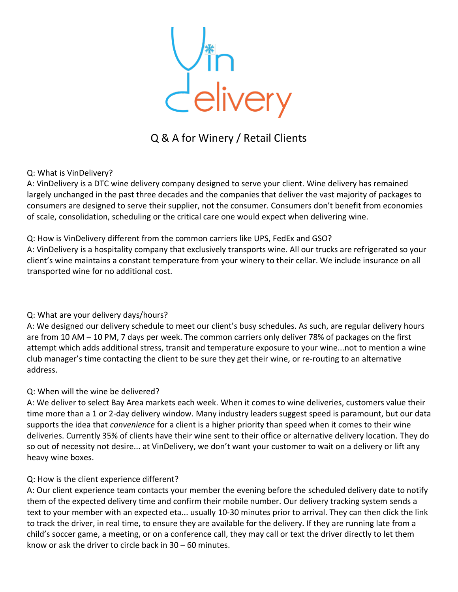Vin<br>Celivery

# Q & A for Winery / Retail Clients

### Q: What is VinDelivery?

A: VinDelivery is a DTC wine delivery company designed to serve your client. Wine delivery has remained largely unchanged in the past three decades and the companies that deliver the vast majority of packages to consumers are designed to serve their supplier, not the consumer. Consumers don't benefit from economies of scale, consolidation, scheduling or the critical care one would expect when delivering wine.

### Q: How is VinDelivery different from the common carriers like UPS, FedEx and GSO?

A: VinDelivery is a hospitality company that exclusively transports wine. All our trucks are refrigerated so your client's wine maintains a constant temperature from your winery to their cellar. We include insurance on all transported wine for no additional cost.

## Q: What are your delivery days/hours?

A: We designed our delivery schedule to meet our client's busy schedules. As such, are regular delivery hours are from 10 AM – 10 PM, 7 days per week. The common carriers only deliver 78% of packages on the first attempt which adds additional stress, transit and temperature exposure to your wine...not to mention a wine club manager's time contacting the client to be sure they get their wine, or re-routing to an alternative address.

#### Q: When will the wine be delivered?

A: We deliver to select Bay Area markets each week. When it comes to wine deliveries, customers value their time more than a 1 or 2-day delivery window. Many industry leaders suggest speed is paramount, but our data supports the idea that *convenience* for a client is a higher priority than speed when it comes to their wine deliveries. Currently 35% of clients have their wine sent to their office or alternative delivery location. They do so out of necessity not desire... at VinDelivery, we don't want your customer to wait on a delivery or lift any heavy wine boxes.

#### Q: How is the client experience different?

A: Our client experience team contacts your member the evening before the scheduled delivery date to notify them of the expected delivery time and confirm their mobile number. Our delivery tracking system sends a text to your member with an expected eta... usually 10-30 minutes prior to arrival. They can then click the link to track the driver, in real time, to ensure they are available for the delivery. If they are running late from a child's soccer game, a meeting, or on a conference call, they may call or text the driver directly to let them know or ask the driver to circle back in 30 – 60 minutes.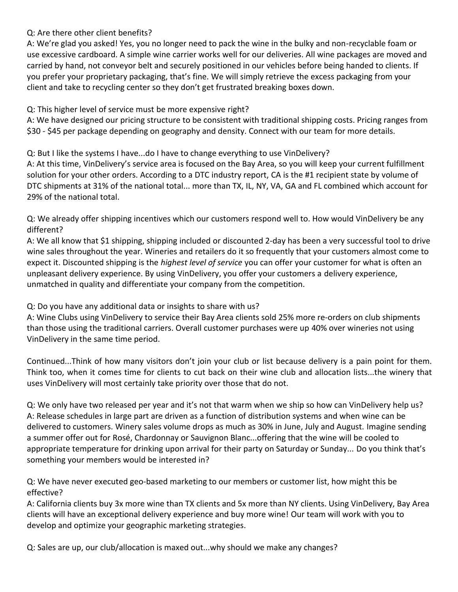Q: Are there other client benefits?

A: We're glad you asked! Yes, you no longer need to pack the wine in the bulky and non-recyclable foam or use excessive cardboard. A simple wine carrier works well for our deliveries. All wine packages are moved and carried by hand, not conveyor belt and securely positioned in our vehicles before being handed to clients. If you prefer your proprietary packaging, that's fine. We will simply retrieve the excess packaging from your client and take to recycling center so they don't get frustrated breaking boxes down.

Q: This higher level of service must be more expensive right?

A: We have designed our pricing structure to be consistent with traditional shipping costs. Pricing ranges from \$30 - \$45 per package depending on geography and density. Connect with our team for more details.

Q: But I like the systems I have...do I have to change everything to use VinDelivery?

A: At this time, VinDelivery's service area is focused on the Bay Area, so you will keep your current fulfillment solution for your other orders. According to a DTC industry report, CA is the #1 recipient state by volume of DTC shipments at 31% of the national total... more than TX, IL, NY, VA, GA and FL combined which account for 29% of the national total.

Q: We already offer shipping incentives which our customers respond well to. How would VinDelivery be any different?

A: We all know that \$1 shipping, shipping included or discounted 2-day has been a very successful tool to drive wine sales throughout the year. Wineries and retailers do it so frequently that your customers almost come to expect it. Discounted shipping is the *highest level of service* you can offer your customer for what is often an unpleasant delivery experience. By using VinDelivery, you offer your customers a delivery experience, unmatched in quality and differentiate your company from the competition.

Q: Do you have any additional data or insights to share with us?

A: Wine Clubs using VinDelivery to service their Bay Area clients sold 25% more re-orders on club shipments than those using the traditional carriers. Overall customer purchases were up 40% over wineries not using VinDelivery in the same time period.

Continued...Think of how many visitors don't join your club or list because delivery is a pain point for them. Think too, when it comes time for clients to cut back on their wine club and allocation lists...the winery that uses VinDelivery will most certainly take priority over those that do not.

Q: We only have two released per year and it's not that warm when we ship so how can VinDelivery help us? A: Release schedules in large part are driven as a function of distribution systems and when wine can be delivered to customers. Winery sales volume drops as much as 30% in June, July and August. Imagine sending a summer offer out for Rosé, Chardonnay or Sauvignon Blanc...offering that the wine will be cooled to appropriate temperature for drinking upon arrival for their party on Saturday or Sunday... Do you think that's something your members would be interested in?

Q: We have never executed geo-based marketing to our members or customer list, how might this be effective?

A: California clients buy 3x more wine than TX clients and 5x more than NY clients. Using VinDelivery, Bay Area clients will have an exceptional delivery experience and buy more wine! Our team will work with you to develop and optimize your geographic marketing strategies.

Q: Sales are up, our club/allocation is maxed out...why should we make any changes?